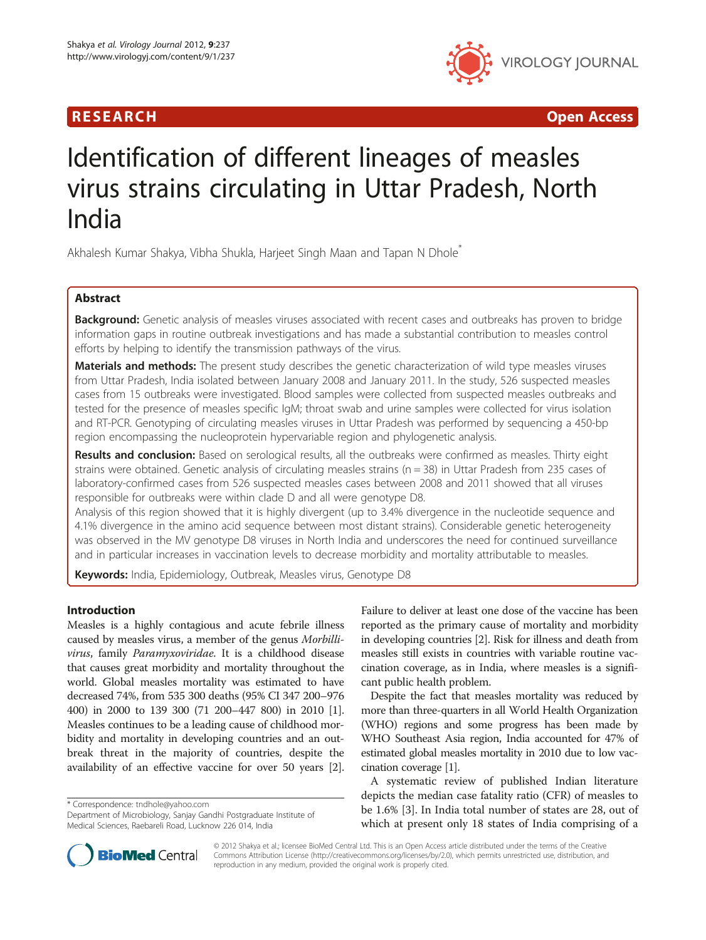## R E S EAR CH Open Access



# Identification of different lineages of measles virus strains circulating in Uttar Pradesh, North India

Akhalesh Kumar Shakya, Vibha Shukla, Harjeet Singh Maan and Tapan N Dhole<sup>\*</sup>

## Abstract

Background: Genetic analysis of measles viruses associated with recent cases and outbreaks has proven to bridge information gaps in routine outbreak investigations and has made a substantial contribution to measles control efforts by helping to identify the transmission pathways of the virus.

Materials and methods: The present study describes the genetic characterization of wild type measles viruses from Uttar Pradesh, India isolated between January 2008 and January 2011. In the study, 526 suspected measles cases from 15 outbreaks were investigated. Blood samples were collected from suspected measles outbreaks and tested for the presence of measles specific IgM; throat swab and urine samples were collected for virus isolation and RT-PCR. Genotyping of circulating measles viruses in Uttar Pradesh was performed by sequencing a 450-bp region encompassing the nucleoprotein hypervariable region and phylogenetic analysis.

Results and conclusion: Based on serological results, all the outbreaks were confirmed as measles. Thirty eight strains were obtained. Genetic analysis of circulating measles strains ( $n = 38$ ) in Uttar Pradesh from 235 cases of laboratory-confirmed cases from 526 suspected measles cases between 2008 and 2011 showed that all viruses responsible for outbreaks were within clade D and all were genotype D8.

Analysis of this region showed that it is highly divergent (up to 3.4% divergence in the nucleotide sequence and 4.1% divergence in the amino acid sequence between most distant strains). Considerable genetic heterogeneity was observed in the MV genotype D8 viruses in North India and underscores the need for continued surveillance and in particular increases in vaccination levels to decrease morbidity and mortality attributable to measles.

Keywords: India, Epidemiology, Outbreak, Measles virus, Genotype D8

## Introduction

Measles is a highly contagious and acute febrile illness caused by measles virus, a member of the genus Morbillivirus, family Paramyxoviridae. It is a childhood disease that causes great morbidity and mortality throughout the world. Global measles mortality was estimated to have decreased 74%, from 535 300 deaths (95% CI 347 200–976 400) in 2000 to 139 300 (71 200–447 800) in 2010 [[1](#page-9-0)]. Measles continues to be a leading cause of childhood morbidity and mortality in developing countries and an outbreak threat in the majority of countries, despite the availability of an effective vaccine for over 50 years [[2](#page-9-0)].

\* Correspondence: [tndhole@yahoo.com](mailto:tndhole@yahoo.com)



Despite the fact that measles mortality was reduced by more than three-quarters in all World Health Organization (WHO) regions and some progress has been made by WHO Southeast Asia region, India accounted for 47% of estimated global measles mortality in 2010 due to low vaccination coverage [\[1](#page-9-0)].

A systematic review of published Indian literature depicts the median case fatality ratio (CFR) of measles to be 1.6% [\[3](#page-9-0)]. In India total number of states are 28, out of which at present only 18 states of India comprising of a



© 2012 Shakya et al.; licensee BioMed Central Ltd. This is an Open Access article distributed under the terms of the Creative Commons Attribution License [\(http://creativecommons.org/licenses/by/2.0\)](http://creativecommons.org/licenses/by/2.0), which permits unrestricted use, distribution, and reproduction in any medium, provided the original work is properly cited.

Department of Microbiology, Sanjay Gandhi Postgraduate Institute of Medical Sciences, Raebareli Road, Lucknow 226 014, India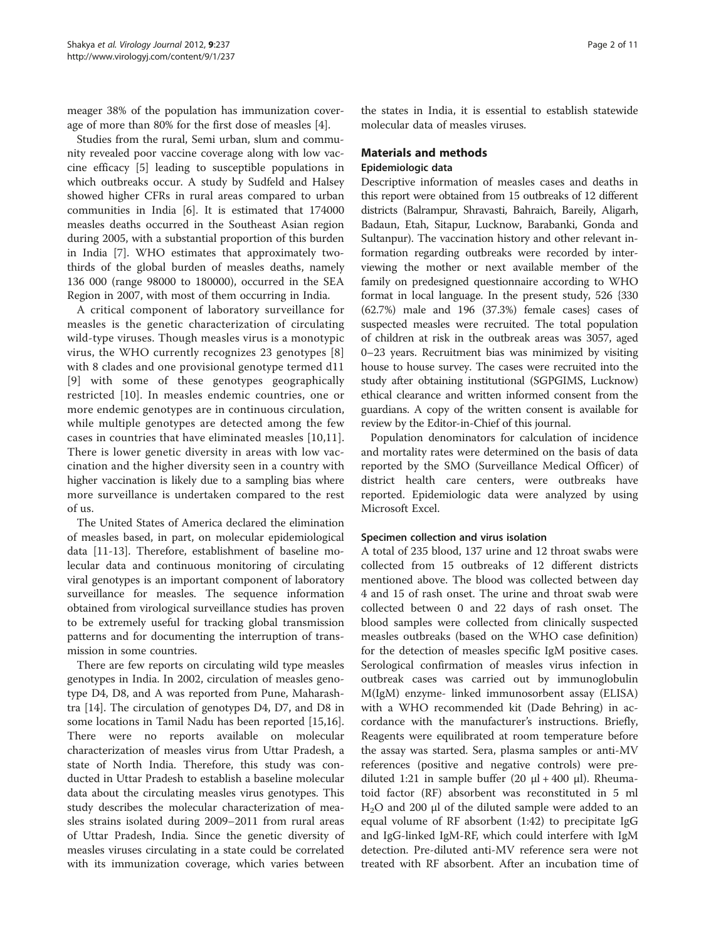meager 38% of the population has immunization coverage of more than 80% for the first dose of measles [[4\]](#page-9-0).

Studies from the rural, Semi urban, slum and community revealed poor vaccine coverage along with low vaccine efficacy [[5\]](#page-9-0) leading to susceptible populations in which outbreaks occur. A study by Sudfeld and Halsey showed higher CFRs in rural areas compared to urban communities in India [\[6](#page-9-0)]. It is estimated that 174000 measles deaths occurred in the Southeast Asian region during 2005, with a substantial proportion of this burden in India [[7\]](#page-9-0). WHO estimates that approximately twothirds of the global burden of measles deaths, namely 136 000 (range 98000 to 180000), occurred in the SEA Region in 2007, with most of them occurring in India.

A critical component of laboratory surveillance for measles is the genetic characterization of circulating wild-type viruses. Though measles virus is a monotypic virus, the WHO currently recognizes 23 genotypes [\[8](#page-9-0)] with 8 clades and one provisional genotype termed d11 [[9](#page-9-0)] with some of these genotypes geographically restricted [[10\]](#page-9-0). In measles endemic countries, one or more endemic genotypes are in continuous circulation, while multiple genotypes are detected among the few cases in countries that have eliminated measles [\[10,11](#page-9-0)]. There is lower genetic diversity in areas with low vaccination and the higher diversity seen in a country with higher vaccination is likely due to a sampling bias where more surveillance is undertaken compared to the rest of us.

The United States of America declared the elimination of measles based, in part, on molecular epidemiological data [[11-13](#page-9-0)]. Therefore, establishment of baseline molecular data and continuous monitoring of circulating viral genotypes is an important component of laboratory surveillance for measles. The sequence information obtained from virological surveillance studies has proven to be extremely useful for tracking global transmission patterns and for documenting the interruption of transmission in some countries.

There are few reports on circulating wild type measles genotypes in India. In 2002, circulation of measles genotype D4, D8, and A was reported from Pune, Maharashtra [\[14](#page-9-0)]. The circulation of genotypes D4, D7, and D8 in some locations in Tamil Nadu has been reported [\[15,16](#page-9-0)]. There were no reports available on molecular characterization of measles virus from Uttar Pradesh, a state of North India. Therefore, this study was conducted in Uttar Pradesh to establish a baseline molecular data about the circulating measles virus genotypes. This study describes the molecular characterization of measles strains isolated during 2009–2011 from rural areas of Uttar Pradesh, India. Since the genetic diversity of measles viruses circulating in a state could be correlated with its immunization coverage, which varies between the states in India, it is essential to establish statewide molecular data of measles viruses.

## Materials and methods Epidemiologic data

Descriptive information of measles cases and deaths in this report were obtained from 15 outbreaks of 12 different districts (Balrampur, Shravasti, Bahraich, Bareily, Aligarh, Badaun, Etah, Sitapur, Lucknow, Barabanki, Gonda and Sultanpur). The vaccination history and other relevant information regarding outbreaks were recorded by interviewing the mother or next available member of the family on predesigned questionnaire according to WHO format in local language. In the present study, 526 {330 (62.7%) male and 196 (37.3%) female cases} cases of suspected measles were recruited. The total population of children at risk in the outbreak areas was 3057, aged 0–23 years. Recruitment bias was minimized by visiting house to house survey. The cases were recruited into the study after obtaining institutional (SGPGIMS, Lucknow) ethical clearance and written informed consent from the guardians. A copy of the written consent is available for review by the Editor-in-Chief of this journal.

Population denominators for calculation of incidence and mortality rates were determined on the basis of data reported by the SMO (Surveillance Medical Officer) of district health care centers, were outbreaks have reported. Epidemiologic data were analyzed by using Microsoft Excel.

## Specimen collection and virus isolation

A total of 235 blood, 137 urine and 12 throat swabs were collected from 15 outbreaks of 12 different districts mentioned above. The blood was collected between day 4 and 15 of rash onset. The urine and throat swab were collected between 0 and 22 days of rash onset. The blood samples were collected from clinically suspected measles outbreaks (based on the WHO case definition) for the detection of measles specific IgM positive cases. Serological confirmation of measles virus infection in outbreak cases was carried out by immunoglobulin M(IgM) enzyme- linked immunosorbent assay (ELISA) with a WHO recommended kit (Dade Behring) in accordance with the manufacturer's instructions. Briefly, Reagents were equilibrated at room temperature before the assay was started. Sera, plasma samples or anti-MV references (positive and negative controls) were prediluted 1:21 in sample buffer (20  $\mu$ l + 400  $\mu$ l). Rheumatoid factor (RF) absorbent was reconstituted in 5 ml H<sub>2</sub>O and 200 μl of the diluted sample were added to an equal volume of RF absorbent (1:42) to precipitate IgG and IgG-linked IgM-RF, which could interfere with IgM detection. Pre-diluted anti-MV reference sera were not treated with RF absorbent. After an incubation time of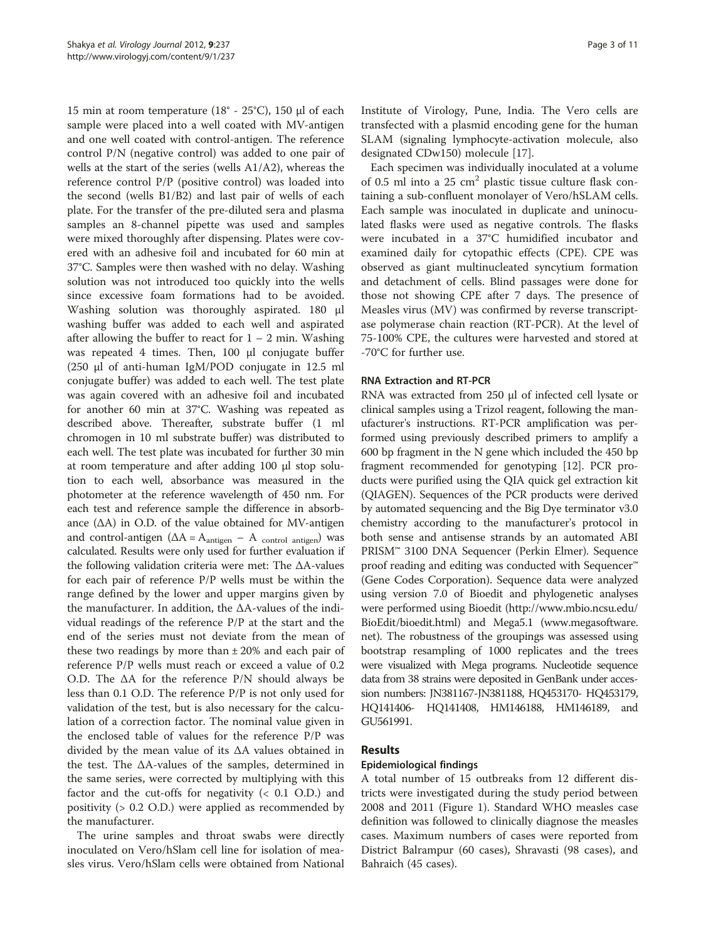15 min at room temperature (18° - 25°C), 150 μl of each sample were placed into a well coated with MV-antigen and one well coated with control-antigen. The reference control P/N (negative control) was added to one pair of wells at the start of the series (wells A1/A2), whereas the reference control P/P (positive control) was loaded into the second (wells B1/B2) and last pair of wells of each plate. For the transfer of the pre-diluted sera and plasma samples an 8-channel pipette was used and samples were mixed thoroughly after dispensing. Plates were covered with an adhesive foil and incubated for 60 min at 37°C. Samples were then washed with no delay. Washing solution was not introduced too quickly into the wells since excessive foam formations had to be avoided. Washing solution was thoroughly aspirated. 180 μl washing buffer was added to each well and aspirated after allowing the buffer to react for  $1 - 2$  min. Washing was repeated 4 times. Then, 100 μl conjugate buffer (250 μl of anti-human IgM/POD conjugate in 12.5 ml conjugate buffer) was added to each well. The test plate was again covered with an adhesive foil and incubated for another 60 min at 37°C. Washing was repeated as described above. Thereafter, substrate buffer (1 ml chromogen in 10 ml substrate buffer) was distributed to each well. The test plate was incubated for further 30 min at room temperature and after adding 100 μl stop solution to each well, absorbance was measured in the photometer at the reference wavelength of 450 nm. For each test and reference sample the difference in absorbance  $(∆A)$  in O.D. of the value obtained for MV-antigen and control-antigen ( $\Delta A = A_{\text{antigen}} - A_{\text{control antigen}}$ ) was calculated. Results were only used for further evaluation if the following validation criteria were met: The ΔA-values for each pair of reference P/P wells must be within the range defined by the lower and upper margins given by the manufacturer. In addition, the ΔA-values of the individual readings of the reference P/P at the start and the end of the series must not deviate from the mean of these two readings by more than  $\pm 20\%$  and each pair of reference P/P wells must reach or exceed a value of 0.2 O.D. The ΔA for the reference P/N should always be less than 0.1 O.D. The reference P/P is not only used for validation of the test, but is also necessary for the calculation of a correction factor. The nominal value given in the enclosed table of values for the reference P/P was divided by the mean value of its ΔA values obtained in the test. The ΔA-values of the samples, determined in the same series, were corrected by multiplying with this factor and the cut-offs for negativity  $( $0.1$   $0.0$ ) and$ positivity (> 0.2 O.D.) were applied as recommended by the manufacturer.

The urine samples and throat swabs were directly inoculated on Vero/hSlam cell line for isolation of measles virus. Vero/hSlam cells were obtained from National Institute of Virology, Pune, India. The Vero cells are transfected with a plasmid encoding gene for the human SLAM (signaling lymphocyte-activation molecule, also designated CDw150) molecule [[17](#page-9-0)].

Each specimen was individually inoculated at a volume of 0.5 ml into a 25  $\text{cm}^2$  plastic tissue culture flask containing a sub-confluent monolayer of Vero/hSLAM cells. Each sample was inoculated in duplicate and uninoculated flasks were used as negative controls. The flasks were incubated in a 37°C humidified incubator and examined daily for cytopathic effects (CPE). CPE was observed as giant multinucleated syncytium formation and detachment of cells. Blind passages were done for those not showing CPE after 7 days. The presence of Measles virus (MV) was confirmed by reverse transcriptase polymerase chain reaction (RT-PCR). At the level of 75-100% CPE, the cultures were harvested and stored at -70°C for further use.

#### RNA Extraction and RT-PCR

RNA was extracted from 250 μl of infected cell lysate or clinical samples using a Trizol reagent, following the manufacturer's instructions. RT-PCR amplification was performed using previously described primers to amplify a 600 bp fragment in the N gene which included the 450 bp fragment recommended for genotyping [\[12\]](#page-9-0). PCR products were purified using the QIA quick gel extraction kit (QIAGEN). Sequences of the PCR products were derived by automated sequencing and the Big Dye terminator v3.0 chemistry according to the manufacturer's protocol in both sense and antisense strands by an automated ABI PRISM™ 3100 DNA Sequencer (Perkin Elmer). Sequence proof reading and editing was conducted with Sequencer™ (Gene Codes Corporation). Sequence data were analyzed using version 7.0 of Bioedit and phylogenetic analyses were performed using Bioedit [\(http://www.mbio.ncsu.edu/](http://www.mbio.ncsu.edu/BioEdit/bioedit.html) [BioEdit/bioedit.html\)](http://www.mbio.ncsu.edu/BioEdit/bioedit.html) and Mega5.1 [\(www.megasoftware.](http://www.megasoftware.net) [net](http://www.megasoftware.net)). The robustness of the groupings was assessed using bootstrap resampling of 1000 replicates and the trees were visualized with Mega programs. Nucleotide sequence data from 38 strains were deposited in GenBank under accession numbers: JN381167-JN381188, HQ453170- HQ453179, HQ141406- HQ141408, HM146188, HM146189, and GU561991.

#### Results

### Epidemiological findings

A total number of 15 outbreaks from 12 different districts were investigated during the study period between 2008 and 2011 (Figure [1\)](#page-3-0). Standard WHO measles case definition was followed to clinically diagnose the measles cases. Maximum numbers of cases were reported from District Balrampur (60 cases), Shravasti (98 cases), and Bahraich (45 cases).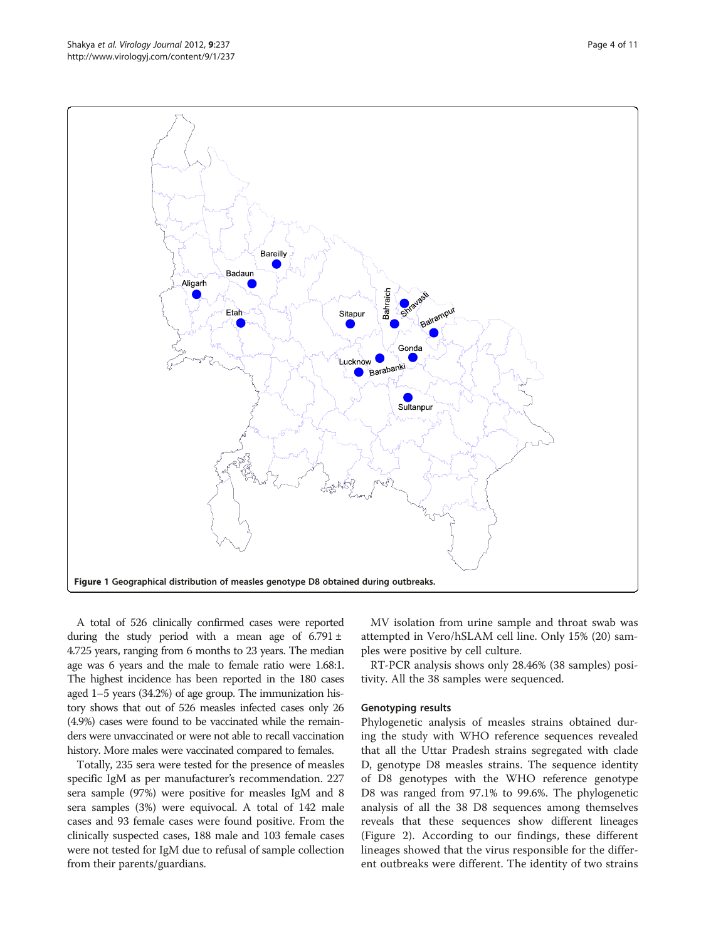A total of 526 clinically confirmed cases were reported during the study period with a mean age of  $6.791 \pm$ 4.725 years, ranging from 6 months to 23 years. The median age was 6 years and the male to female ratio were 1.68:1. The highest incidence has been reported in the 180 cases aged 1–5 years (34.2%) of age group. The immunization history shows that out of 526 measles infected cases only 26 (4.9%) cases were found to be vaccinated while the remainders were unvaccinated or were not able to recall vaccination history. More males were vaccinated compared to females.

Totally, 235 sera were tested for the presence of measles specific IgM as per manufacturer's recommendation. 227 sera sample (97%) were positive for measles IgM and 8 sera samples (3%) were equivocal. A total of 142 male cases and 93 female cases were found positive. From the clinically suspected cases, 188 male and 103 female cases were not tested for IgM due to refusal of sample collection from their parents/guardians.

MV isolation from urine sample and throat swab was attempted in Vero/hSLAM cell line. Only 15% (20) samples were positive by cell culture.

RT-PCR analysis shows only 28.46% (38 samples) positivity. All the 38 samples were sequenced.

#### Genotyping results

Phylogenetic analysis of measles strains obtained during the study with WHO reference sequences revealed that all the Uttar Pradesh strains segregated with clade D, genotype D8 measles strains. The sequence identity of D8 genotypes with the WHO reference genotype D8 was ranged from 97.1% to 99.6%. The phylogenetic analysis of all the 38 D8 sequences among themselves reveals that these sequences show different lineages (Figure [2\)](#page-4-0). According to our findings, these different lineages showed that the virus responsible for the different outbreaks were different. The identity of two strains

<span id="page-3-0"></span>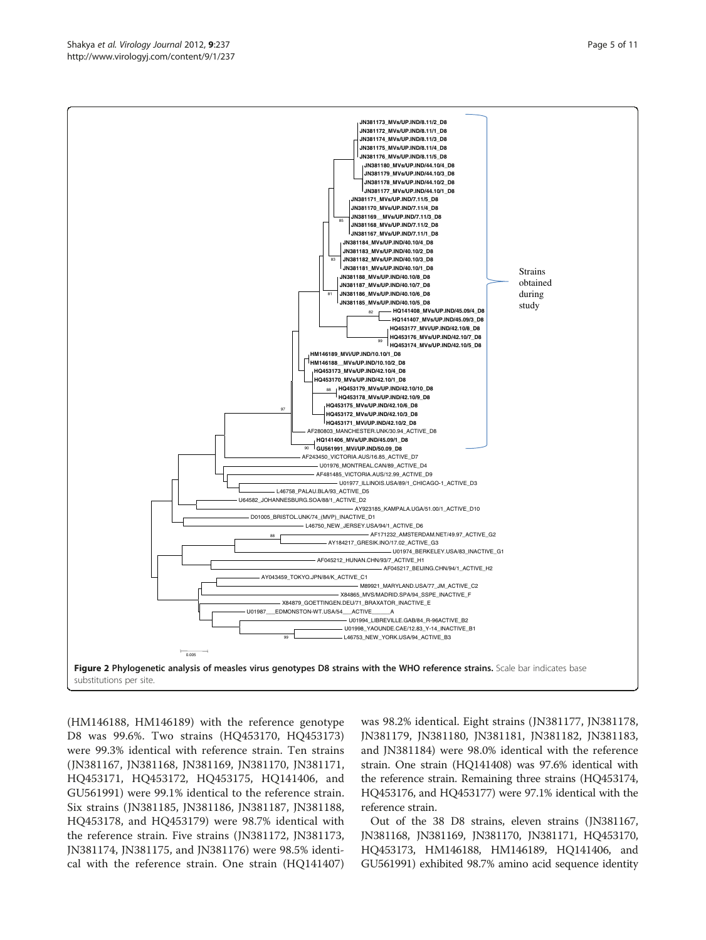(HM146188, HM146189) with the reference genotype D8 was 99.6%. Two strains (HQ453170, HQ453173) were 99.3% identical with reference strain. Ten strains (JN381167, JN381168, JN381169, JN381170, JN381171, HQ453171, HQ453172, HQ453175, HQ141406, and GU561991) were 99.1% identical to the reference strain. Six strains (JN381185, JN381186, JN381187, JN381188, HQ453178, and HQ453179) were 98.7% identical with the reference strain. Five strains (JN381172, JN381173, JN381174, JN381175, and JN381176) were 98.5% identical with the reference strain. One strain (HQ141407)

was 98.2% identical. Eight strains (JN381177, JN381178, JN381179, JN381180, JN381181, JN381182, JN381183, and JN381184) were 98.0% identical with the reference strain. One strain (HQ141408) was 97.6% identical with the reference strain. Remaining three strains (HQ453174, HQ453176, and HQ453177) were 97.1% identical with the reference strain.

Out of the 38 D8 strains, eleven strains (JN381167, JN381168, JN381169, JN381170, JN381171, HQ453170, HQ453173, HM146188, HM146189, HQ141406, and GU561991) exhibited 98.7% amino acid sequence identity

<span id="page-4-0"></span>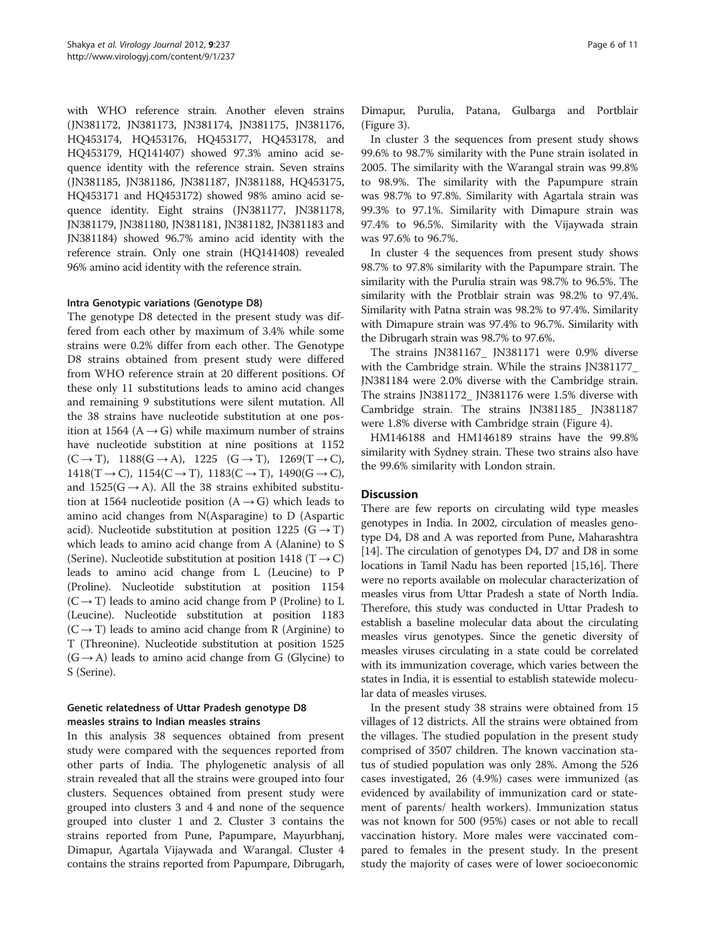with WHO reference strain. Another eleven strains (JN381172, JN381173, JN381174, JN381175, JN381176, HQ453174, HQ453176, HQ453177, HQ453178, and HQ453179, HQ141407) showed 97.3% amino acid sequence identity with the reference strain. Seven strains (JN381185, JN381186, JN381187, JN381188, HQ453175, HQ453171 and HQ453172) showed 98% amino acid sequence identity. Eight strains (JN381177, JN381178, JN381179, JN381180, JN381181, JN381182, JN381183 and JN381184) showed 96.7% amino acid identity with the reference strain. Only one strain (HQ141408) revealed 96% amino acid identity with the reference strain.

## Intra Genotypic variations (Genotype D8)

The genotype D8 detected in the present study was differed from each other by maximum of 3.4% while some strains were 0.2% differ from each other. The Genotype D8 strains obtained from present study were differed from WHO reference strain at 20 different positions. Of these only 11 substitutions leads to amino acid changes and remaining 9 substitutions were silent mutation. All the 38 strains have nucleotide substitution at one position at 1564 ( $A \rightarrow G$ ) while maximum number of strains have nucleotide substition at nine positions at 1152  $(C \rightarrow T)$ , 1188 $(G \rightarrow A)$ , 1225  $(G \rightarrow T)$ , 1269 $(T \rightarrow C)$ , 1418(T → C), 1154(C → T), 1183(C → T), 1490(G → C), and  $1525(G \rightarrow A)$ . All the 38 strains exhibited substitution at 1564 nucleotide position  $(A \rightarrow G)$  which leads to amino acid changes from N(Asparagine) to D (Aspartic acid). Nucleotide substitution at position 1225 ( $G \rightarrow T$ ) which leads to amino acid change from A (Alanine) to S (Serine). Nucleotide substitution at position 1418 (T  $\rightarrow$  C) leads to amino acid change from L (Leucine) to P (Proline). Nucleotide substitution at position 1154  $(C \rightarrow T)$  leads to amino acid change from P (Proline) to L (Leucine). Nucleotide substitution at position 1183  $(C \rightarrow T)$  leads to amino acid change from R (Arginine) to T (Threonine). Nucleotide substitution at position 1525  $(G \rightarrow A)$  leads to amino acid change from G (Glycine) to S (Serine).

## Genetic relatedness of Uttar Pradesh genotype D8 measles strains to Indian measles strains

In this analysis 38 sequences obtained from present study were compared with the sequences reported from other parts of India. The phylogenetic analysis of all strain revealed that all the strains were grouped into four clusters. Sequences obtained from present study were grouped into clusters 3 and 4 and none of the sequence grouped into cluster 1 and 2. Cluster 3 contains the strains reported from Pune, Papumpare, Mayurbhanj, Dimapur, Agartala Vijaywada and Warangal. Cluster 4 contains the strains reported from Papumpare, Dibrugarh, Dimapur, Purulia, Patana, Gulbarga and Portblair (Figure [3](#page-6-0)).

In cluster 3 the sequences from present study shows 99.6% to 98.7% similarity with the Pune strain isolated in 2005. The similarity with the Warangal strain was 99.8% to 98.9%. The similarity with the Papumpure strain was 98.7% to 97.8%. Similarity with Agartala strain was 99.3% to 97.1%. Similarity with Dimapure strain was 97.4% to 96.5%. Similarity with the Vijaywada strain was 97.6% to 96.7%.

In cluster 4 the sequences from present study shows 98.7% to 97.8% similarity with the Papumpare strain. The similarity with the Purulia strain was 98.7% to 96.5%. The similarity with the Protblair strain was 98.2% to 97.4%. Similarity with Patna strain was 98.2% to 97.4%. Similarity with Dimapure strain was 97.4% to 96.7%. Similarity with the Dibrugarh strain was 98.7% to 97.6%.

The strains JN381167\_ JN381171 were 0.9% diverse with the Cambridge strain. While the strains JN381177\_ JN381184 were 2.0% diverse with the Cambridge strain. The strains JN381172\_ JN381176 were 1.5% diverse with Cambridge strain. The strains JN381185\_ JN381187 were 1.8% diverse with Cambridge strain (Figure [4\)](#page-7-0).

HM146188 and HM146189 strains have the 99.8% similarity with Sydney strain. These two strains also have the 99.6% similarity with London strain.

#### **Discussion**

There are few reports on circulating wild type measles genotypes in India. In 2002, circulation of measles genotype D4, D8 and A was reported from Pune, Maharashtra [[14](#page-9-0)]. The circulation of genotypes D4, D7 and D8 in some locations in Tamil Nadu has been reported [\[15,16](#page-9-0)]. There were no reports available on molecular characterization of measles virus from Uttar Pradesh a state of North India. Therefore, this study was conducted in Uttar Pradesh to establish a baseline molecular data about the circulating measles virus genotypes. Since the genetic diversity of measles viruses circulating in a state could be correlated with its immunization coverage, which varies between the states in India, it is essential to establish statewide molecular data of measles viruses.

In the present study 38 strains were obtained from 15 villages of 12 districts. All the strains were obtained from the villages. The studied population in the present study comprised of 3507 children. The known vaccination status of studied population was only 28%. Among the 526 cases investigated, 26 (4.9%) cases were immunized (as evidenced by availability of immunization card or statement of parents/ health workers). Immunization status was not known for 500 (95%) cases or not able to recall vaccination history. More males were vaccinated compared to females in the present study. In the present study the majority of cases were of lower socioeconomic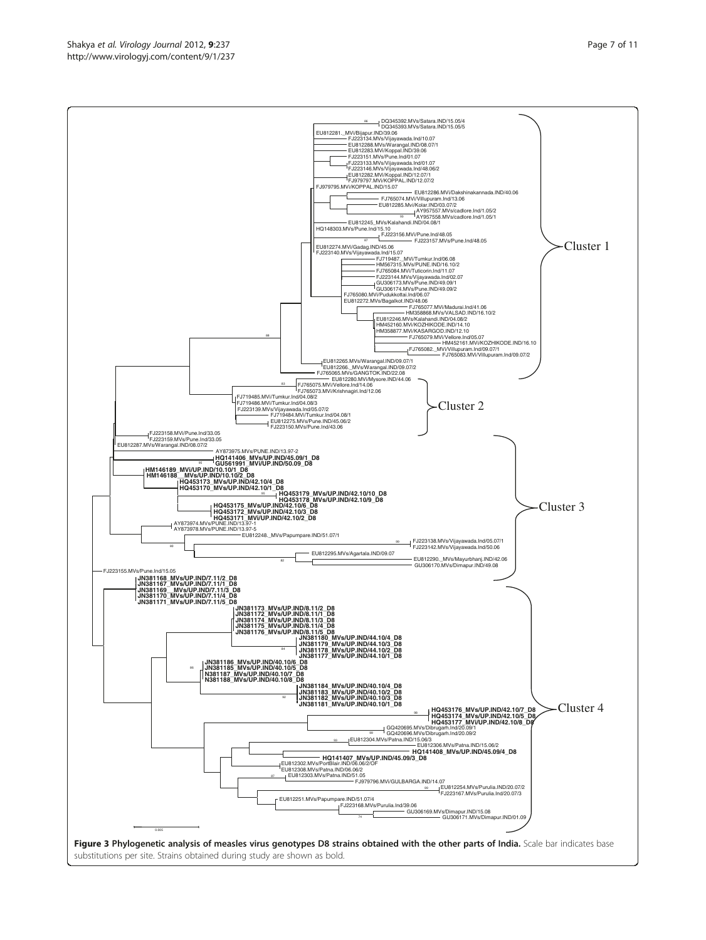<span id="page-6-0"></span>Shakya et al. Virology Journal 2012, 9:237 http://www.virologyj.com/content/9/1/237

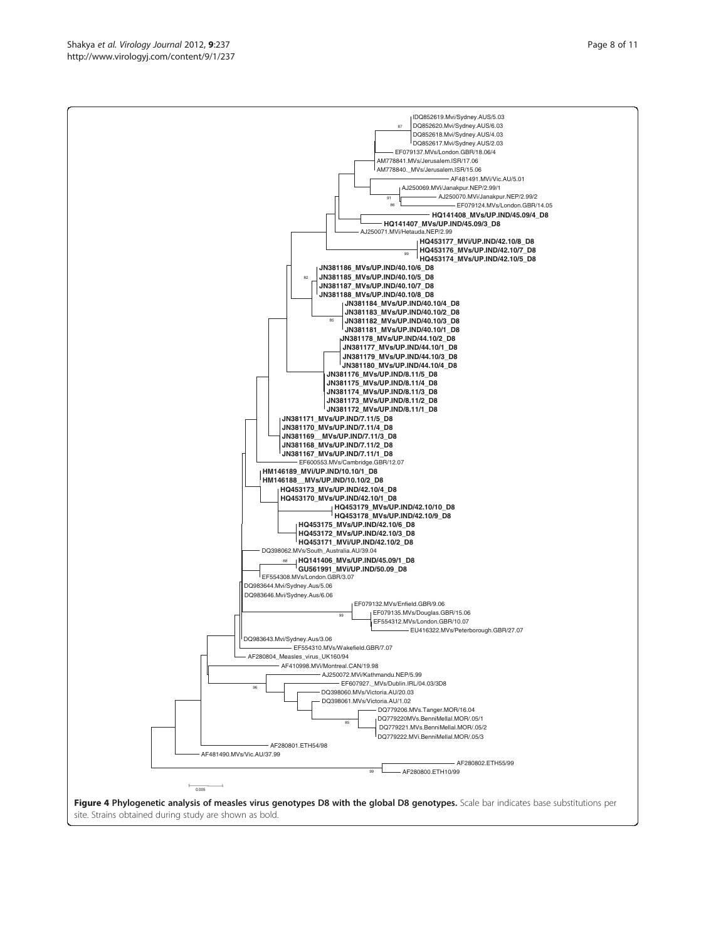site. Strains obtained during study are shown as bold.

<span id="page-7-0"></span>

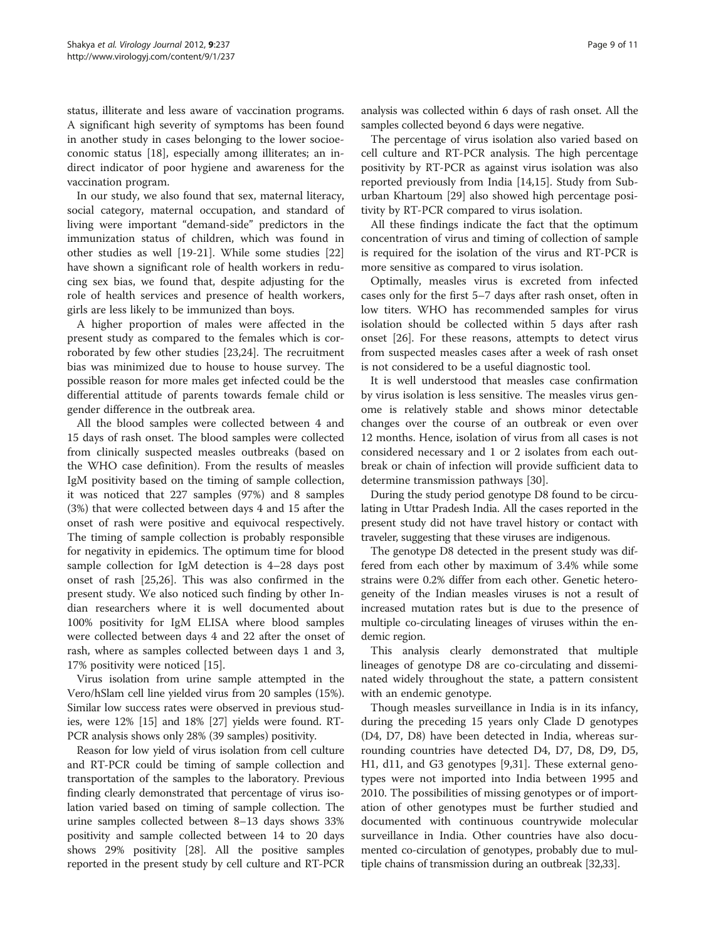status, illiterate and less aware of vaccination programs. A significant high severity of symptoms has been found in another study in cases belonging to the lower socioeconomic status [\[18\]](#page-9-0), especially among illiterates; an indirect indicator of poor hygiene and awareness for the vaccination program.

In our study, we also found that sex, maternal literacy, social category, maternal occupation, and standard of living were important "demand-side" predictors in the immunization status of children, which was found in other studies as well [[19-21](#page-9-0)]. While some studies [[22](#page-9-0)] have shown a significant role of health workers in reducing sex bias, we found that, despite adjusting for the role of health services and presence of health workers, girls are less likely to be immunized than boys.

A higher proportion of males were affected in the present study as compared to the females which is corroborated by few other studies [[23,24](#page-9-0)]. The recruitment bias was minimized due to house to house survey. The possible reason for more males get infected could be the differential attitude of parents towards female child or gender difference in the outbreak area.

All the blood samples were collected between 4 and 15 days of rash onset. The blood samples were collected from clinically suspected measles outbreaks (based on the WHO case definition). From the results of measles IgM positivity based on the timing of sample collection, it was noticed that 227 samples (97%) and 8 samples (3%) that were collected between days 4 and 15 after the onset of rash were positive and equivocal respectively. The timing of sample collection is probably responsible for negativity in epidemics. The optimum time for blood sample collection for IgM detection is 4–28 days post onset of rash [[25,26\]](#page-9-0). This was also confirmed in the present study. We also noticed such finding by other Indian researchers where it is well documented about 100% positivity for IgM ELISA where blood samples were collected between days 4 and 22 after the onset of rash, where as samples collected between days 1 and 3, 17% positivity were noticed [[15\]](#page-9-0).

Virus isolation from urine sample attempted in the Vero/hSlam cell line yielded virus from 20 samples (15%). Similar low success rates were observed in previous studies, were 12% [\[15\]](#page-9-0) and 18% [\[27](#page-9-0)] yields were found. RT-PCR analysis shows only 28% (39 samples) positivity.

Reason for low yield of virus isolation from cell culture and RT-PCR could be timing of sample collection and transportation of the samples to the laboratory. Previous finding clearly demonstrated that percentage of virus isolation varied based on timing of sample collection. The urine samples collected between 8–13 days shows 33% positivity and sample collected between 14 to 20 days shows 29% positivity [\[28\]](#page-9-0). All the positive samples reported in the present study by cell culture and RT-PCR

analysis was collected within 6 days of rash onset. All the samples collected beyond 6 days were negative.

The percentage of virus isolation also varied based on cell culture and RT-PCR analysis. The high percentage positivity by RT-PCR as against virus isolation was also reported previously from India [\[14,15\]](#page-9-0). Study from Suburban Khartoum [\[29\]](#page-9-0) also showed high percentage positivity by RT-PCR compared to virus isolation.

All these findings indicate the fact that the optimum concentration of virus and timing of collection of sample is required for the isolation of the virus and RT-PCR is more sensitive as compared to virus isolation.

Optimally, measles virus is excreted from infected cases only for the first 5–7 days after rash onset, often in low titers. WHO has recommended samples for virus isolation should be collected within 5 days after rash onset [\[26](#page-9-0)]. For these reasons, attempts to detect virus from suspected measles cases after a week of rash onset is not considered to be a useful diagnostic tool.

It is well understood that measles case confirmation by virus isolation is less sensitive. The measles virus genome is relatively stable and shows minor detectable changes over the course of an outbreak or even over 12 months. Hence, isolation of virus from all cases is not considered necessary and 1 or 2 isolates from each outbreak or chain of infection will provide sufficient data to determine transmission pathways [\[30](#page-10-0)].

During the study period genotype D8 found to be circulating in Uttar Pradesh India. All the cases reported in the present study did not have travel history or contact with traveler, suggesting that these viruses are indigenous.

The genotype D8 detected in the present study was differed from each other by maximum of 3.4% while some strains were 0.2% differ from each other. Genetic heterogeneity of the Indian measles viruses is not a result of increased mutation rates but is due to the presence of multiple co-circulating lineages of viruses within the endemic region.

This analysis clearly demonstrated that multiple lineages of genotype D8 are co-circulating and disseminated widely throughout the state, a pattern consistent with an endemic genotype.

Though measles surveillance in India is in its infancy, during the preceding 15 years only Clade D genotypes (D4, D7, D8) have been detected in India, whereas surrounding countries have detected D4, D7, D8, D9, D5, H1, d11, and G3 genotypes [\[9](#page-9-0)[,31](#page-10-0)]. These external genotypes were not imported into India between 1995 and 2010. The possibilities of missing genotypes or of importation of other genotypes must be further studied and documented with continuous countrywide molecular surveillance in India. Other countries have also documented co-circulation of genotypes, probably due to multiple chains of transmission during an outbreak [\[32,33](#page-10-0)].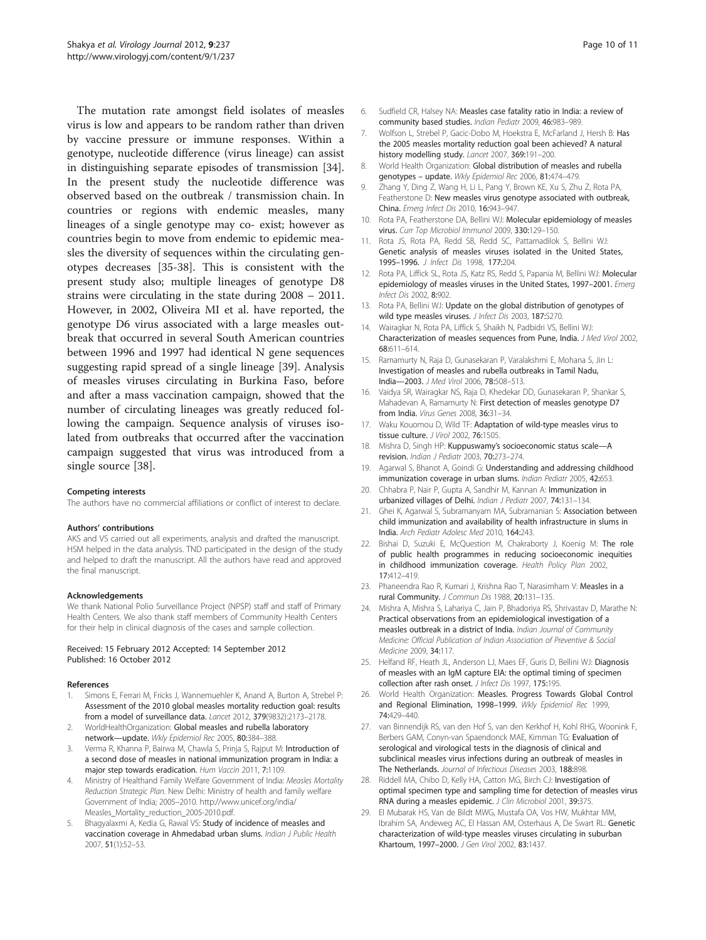<span id="page-9-0"></span>The mutation rate amongst field isolates of measles virus is low and appears to be random rather than driven by vaccine pressure or immune responses. Within a genotype, nucleotide difference (virus lineage) can assist in distinguishing separate episodes of transmission [\[34](#page-10-0)]. In the present study the nucleotide difference was observed based on the outbreak / transmission chain. In countries or regions with endemic measles, many lineages of a single genotype may co- exist; however as countries begin to move from endemic to epidemic measles the diversity of sequences within the circulating genotypes decreases [\[35](#page-10-0)-[38\]](#page-10-0). This is consistent with the present study also; multiple lineages of genotype D8 strains were circulating in the state during 2008 – 2011. However, in 2002, Oliveira MI et al. have reported, the genotype D6 virus associated with a large measles outbreak that occurred in several South American countries between 1996 and 1997 had identical N gene sequences suggesting rapid spread of a single lineage [\[39\]](#page-10-0). Analysis of measles viruses circulating in Burkina Faso, before and after a mass vaccination campaign, showed that the number of circulating lineages was greatly reduced following the campaign. Sequence analysis of viruses isolated from outbreaks that occurred after the vaccination campaign suggested that virus was introduced from a single source [[38\]](#page-10-0).

#### Competing interests

The authors have no commercial affiliations or conflict of interest to declare.

#### Authors' contributions

AKS and VS carried out all experiments, analysis and drafted the manuscript. HSM helped in the data analysis. TND participated in the design of the study and helped to draft the manuscript. All the authors have read and approved the final manuscript.

#### Acknowledgements

We thank National Polio Surveillance Project (NPSP) staff and staff of Primary Health Centers. We also thank staff members of Community Health Centers for their help in clinical diagnosis of the cases and sample collection.

#### Received: 15 February 2012 Accepted: 14 September 2012 Published: 16 October 2012

#### References

- 1. Simons E, Ferrari M, Fricks J, Wannemuehler K, Anand A, Burton A, Strebel P: Assessment of the 2010 global measles mortality reduction goal: results from a model of surveillance data. Lancet 2012, 379(9832):2173–2178.
- 2. WorldHealthOrganization: Global measles and rubella laboratory network—update. Wkly Epidemiol Rec 2005, 80:384–388.
- Verma R, Khanna P, Bairwa M, Chawla S, Prinja S, Rajput M: Introduction of a second dose of measles in national immunization program in India: a major step towards eradication. Hum Vaccin 2011, 7:1109
- 4. Ministry of Healthand Family Welfare Government of India: Measles Mortality Reduction Strategic Plan. New Delhi: Ministry of health and family welfare Government of India; 2005–2010. [http://www.unicef.org/india/](http://www.unicef.org/india/Measles_Mortality_reduction_2005-2010.pdf) [Measles\\_Mortality\\_reduction\\_2005-2010.pdf.](http://www.unicef.org/india/Measles_Mortality_reduction_2005-2010.pdf)
- Bhagyalaxmi A, Kedia G, Rawal VS: Study of incidence of measles and vaccination coverage in Ahmedabad urban slums. Indian J Public Health 2007, 51(1):52–53.
- 6. Sudfield CR, Halsey NA: Measles case fatality ratio in India: a review of community based studies. Indian Pediatr 2009, 46:983–989.
- 7. Wolfson L, Strebel P, Gacic-Dobo M, Hoekstra E, McFarland J, Hersh B: Has the 2005 measles mortality reduction goal been achieved? A natural history modelling study. Lancet 2007, 369:191–200.
- 8. World Health Organization: Global distribution of measles and rubella genotypes – update. Wkly Epidemiol Rec 2006, 81:474–479.
- 9. Zhang Y, Ding Z, Wang H, Li L, Pang Y, Brown KE, Xu S, Zhu Z, Rota PA, Featherstone D: New measles virus genotype associated with outbreak, China. Emerg Infect Dis 2010, 16:943–947.
- 10. Rota PA, Featherstone DA, Bellini WJ: Molecular epidemiology of measles virus. Curr Top Microbiol Immunol 2009, 330:129-150.
- 11. Rota JS, Rota PA, Redd SB, Redd SC, Pattamadilok S, Bellini WJ: Genetic analysis of measles viruses isolated in the United States, 1995-1996. J Infect Dis 1998, 177:204.
- 12. Rota PA, Liffick SL, Rota JS, Katz RS, Redd S, Papania M, Bellini WJ: Molecular epidemiology of measles viruses in the United States, 1997–2001. Emerg Infect Dis 2002, 8:902.
- 13. Rota PA, Bellini WJ: Update on the global distribution of genotypes of wild type measles viruses. J Infect Dis 2003, 187:S270.
- 14. Wairagkar N, Rota PA, Liffick S, Shaikh N, Padbidri VS, Bellini WJ: Characterization of measles sequences from Pune, India. J Med Virol 2002, 68:611–614.
- 15. Ramamurty N, Raja D, Gunasekaran P, Varalakshmi E, Mohana S, Jin L: Investigation of measles and rubella outbreaks in Tamil Nadu, India—2003. J Med Virol 2006, 78:508–513.
- 16. Vaidya SR, Wairagkar NS, Raja D, Khedekar DD, Gunasekaran P, Shankar S, Mahadevan A, Ramamurty N: First detection of measles genotype D7 from India. Virus Genes 2008, 36:31–34.
- 17. Waku Kouomou D, Wild TF: Adaptation of wild-type measles virus to tissue culture. J Virol 2002, 76:1505.
- 18. Mishra D, Singh HP: Kuppuswamy's socioeconomic status scale—A revision. Indian J Pediatr 2003, 70:273–274.
- 19. Agarwal S, Bhanot A, Goindi G: Understanding and addressing childhood immunization coverage in urban slums. Indian Pediatr 2005, 42:653.
- 20. Chhabra P, Nair P, Gupta A, Sandhir M, Kannan A: Immunization in urbanized villages of Delhi. Indian J Pediatr 2007, 74:131-134.
- 21. Ghei K, Agarwal S, Subramanyam MA, Subramanian S: Association between child immunization and availability of health infrastructure in slums in India. Arch Pediatr Adolesc Med 2010, 164:243.
- 22. Bishai D, Suzuki E, McQuestion M, Chakraborty J, Koenig M: The role of public health programmes in reducing socioeconomic inequities in childhood immunization coverage. Health Policy Plan 2002, 17:412–419.
- 23. Phaneendra Rao R, Kumari J, Krishna Rao T, Narasimham V: Measles in a rural Community. J Commun Dis 1988, 20:131–135.
- 24. Mishra A, Mishra S, Lahariya C, Jain P, Bhadoriya RS, Shrivastav D, Marathe N: Practical observations from an epidemiological investigation of a measles outbreak in a district of India. Indian Journal of Community Medicine: Official Publication of Indian Association of Preventive & Social Medicine 2009, 34:117.
- 25. Helfand RF, Heath JL, Anderson LJ, Maes EF, Guris D, Bellini WJ: Diagnosis of measles with an IgM capture EIA: the optimal timing of specimen collection after rash onset. J Infect Dis 1997, 175:195.
- 26. World Health Organization: Measles. Progress Towards Global Control and Regional Elimination, 1998–1999. Wkly Epidemiol Rec 1999, 74:429–440.
- 27. van Binnendijk RS, van den Hof S, van den Kerkhof H, Kohl RHG, Woonink F, Berbers GAM, Conyn-van Spaendonck MAE, Kimman TG: Evaluation of serological and virological tests in the diagnosis of clinical and subclinical measles virus infections during an outbreak of measles in The Netherlands. Journal of Infectious Diseases 2003, 188:898.
- 28. Riddell MA, Chibo D, Kelly HA, Catton MG, Birch CJ: Investigation of optimal specimen type and sampling time for detection of measles virus RNA during a measles epidemic. J Clin Microbiol 2001, 39:375.
- 29. El Mubarak HS, Van de Bildt MWG, Mustafa OA, Vos HW, Mukhtar MM, Ibrahim SA, Andeweg AC, El Hassan AM, Osterhaus A, De Swart RL: Genetic characterization of wild-type measles viruses circulating in suburban Khartoum, 1997–2000. J Gen Virol 2002, 83:1437.